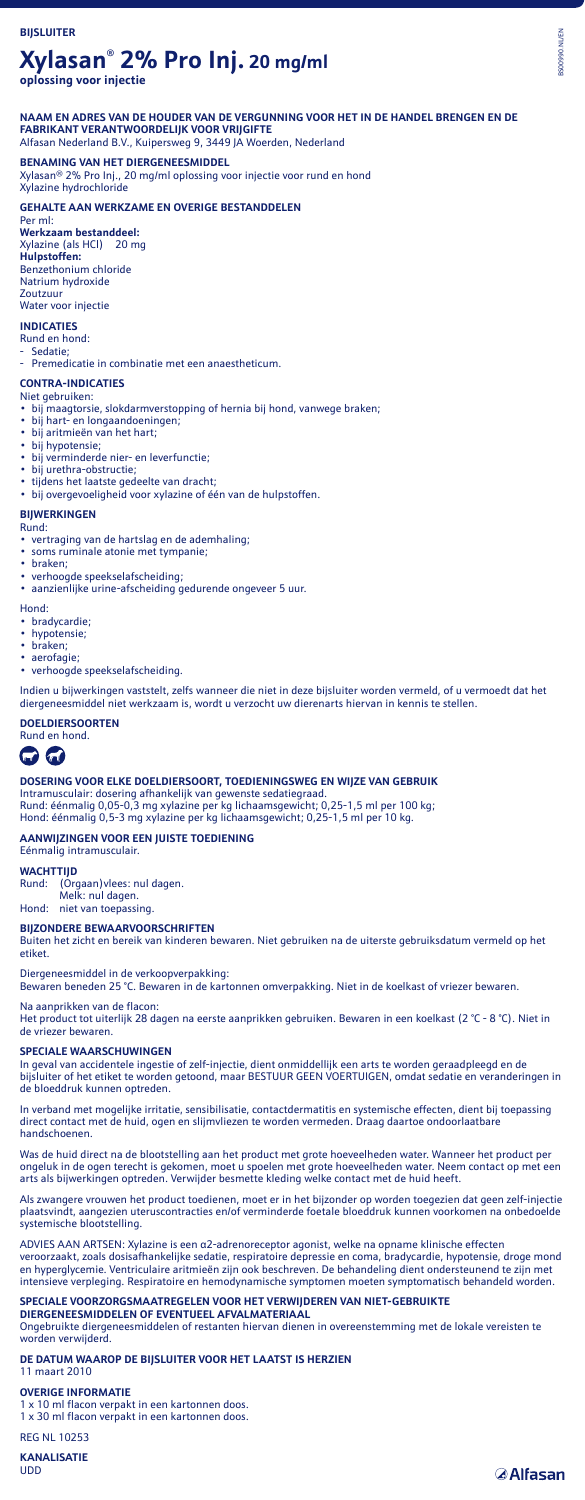# **Xylasan® 2% Pro Inj. 20 mg/ml**

**oplossing voor injectie**

### **NAAM EN ADRES VAN DE HOUDER VAN DE VERGUNNING VOOR HET IN DE HANDEL BRENGEN EN DE FABRIKANT VERANTWOORDELIJK VOOR VRIJGIFTE** Alfasan Nederland B.V., Kuipersweg 9, 3449 JA Woerden, Nederland

**BENAMING VAN HET DIERGENEESMIDDEL** Xylasan® 2% Pro Inj., 20 mg/ml oplossing voor injectie voor rund en hond

Xylazine hydrochloride **GEHALTE AAN WERKZAME EN OVERIGE BESTANDDELEN**

Per ml: **Werkzaam bestanddeel:** Xylazine (als HCl) 20 mg **Hulpstoffen:** Benzethonium chloride Natrium hydroxide Zoutzuur Water voor injectie

## **INDICATIES**

## Rund en hond:

Sedatie:

Premedicatie in combinatie met een anaestheticum.

### **CONTRA-INDICATIES** Niet gebruiken:

- bij maagtorsie, slokdarmverstopping of hernia bij hond, vanwege braken;
- bij hart- en longaandoeningen; • bij aritmieën van het hart;
- bij hypotensie;
- bij verminderde nier- en leverfunctie;
- bij urethra-obstructie;
- tijdens het laatste gedeelte van dracht;
- bij overgevoeligheid voor xylazine of één van de hulpstoffen.

## **BIJWERKINGEN**

Rund:

- vertraging van de hartslag en de ademhaling; • soms ruminale atonie met tympanie;
- braken;
- verhoogde speekselafscheiding;
- aanzienlijke urine-afscheiding gedurende ongeveer 5 uur.

Hond:

- bradycardie;
- hypotensie; • braken;
- aerofagie;
- verhoogde speekselafscheiding.

Indien u bijwerkingen vaststelt, zelfs wanneer die niet in deze bijsluiter worden vermeld, of u vermoedt dat het diergeneesmiddel niet werkzaam is, wordt u verzocht uw dierenarts hiervan in kennis te stellen.

# **DOELDIERSOORTEN** Rund en hond.

# $\omega$   $\omega$

**DOSERING VOOR ELKE DOELDIERSOORT, TOEDIENINGSWEG EN WIJZE VAN GEBRUIK** Intramusculair: dosering afhankelijk van gewenste sedatiegraad. Rund: éénmalig 0,05-0,3 mg xylazine per kg lichaamsgewicht; 0,25-1,5 ml per 100 kg;

Hond: éénmalig 0,5-3 mg xylazine per kg lichaamsgewicht; 0,25-1,5 ml per 10 kg.

## **AANWIJZINGEN VOOR EEN JUISTE TOEDIENING**

Eénmalig intramusculair.

# **WACHTTIJD**<br>Rund: (Oro

(Orgaan) vlees: nul dagen. Melk: nul dagen.

Hond: niet van toepassing.

### **BIJZONDERE BEWAARVOORSCHRIFTEN**

Buiten het zicht en bereik van kinderen bewaren. Niet gebruiken na de uiterste gebruiksdatum vermeld op het etiket.

Diergeneesmiddel in de verkoopverpakking:

Bewaren beneden 25 °C. Bewaren in de kartonnen omverpakking. Niet in de koelkast of vriezer bewaren.

# Na aanprikken van de flacon:

Het product tot uiterlijk 28 dagen na eerste aanprikken gebruiken. Bewaren in een koelkast (2 °C - 8 °C). Niet in de vriezer bewaren.

## **SPECIALE WAARSCHUWINGEN**

In geval van accidentele ingestie of zelf-injectie, dient onmiddellijk een arts te worden geraadpleegd en de bijsluiter of het etiket te worden getoond, maar BESTUUR GEEN VOERTUIGEN, omdat sedatie en veranderingen in de bloeddruk kunnen optreden.

In verband met mogelijke irritatie, sensibilisatie, contactdermatitis en systemische effecten, dient bij toepassing direct contact met de huid, ogen en slijmvliezen te worden vermeden. Draag daartoe ondoorlaatbare handschoenen.

Was de huid direct na de blootstelling aan het product met grote hoeveelheden water. Wanneer het product per ongeluk in de ogen terecht is gekomen, moet u spoelen met grote hoeveelheden water. Neem contact op met een arts als bijwerkingen optreden. Verwijder besmette kleding welke contact met de huid heeft.

Als zwangere vrouwen het product toedienen, moet er in het bijzonder op worden toegezien dat geen zelf-injectie plaatsvindt, aangezien uteruscontracties en/of verminderde foetale bloeddruk kunnen voorkomen na onbedoelde systemische blootstelling.

ADVIES AAN ARTSEN: Xylazine is een α2-adrenoreceptor agonist, welke na opname klinische effecten veroorzaakt, zoals dosisafhankelijke sedatie, respiratoire depressie en coma, bradycardie, hypotensie, droge mond en hyperglycemie. Ventriculaire aritmieën zijn ook beschreven. De behandeling dient ondersteunend te zijn met intensieve verpleging. Respiratoire en hemodynamische symptomen moeten symptomatisch behandeld worden.

# **SPECIALE VOORZORGSMAATREGELEN VOOR HET VERWIJDEREN VAN NIET-GEBRUIKTE**

**DIERGENEESMIDDELEN OF EVENTUEEL AFVALMATERIAAL**

Ongebruikte diergeneesmiddelen of restanten hiervan dienen in overeenstemming met de lokale vereisten te worden verwijderd.

#### **DE DATUM WAAROP DE BIJSLUITER VOOR HET LAATST IS HERZIEN** 11 maart 2010

# **OVERIGE INFORMATIE**

1 x 10 ml flacon verpakt in een kartonnen doos. 1 x 30 ml flacon verpakt in een kartonnen doos.

### REG NL 10253 **KANALISATIE**

UDD